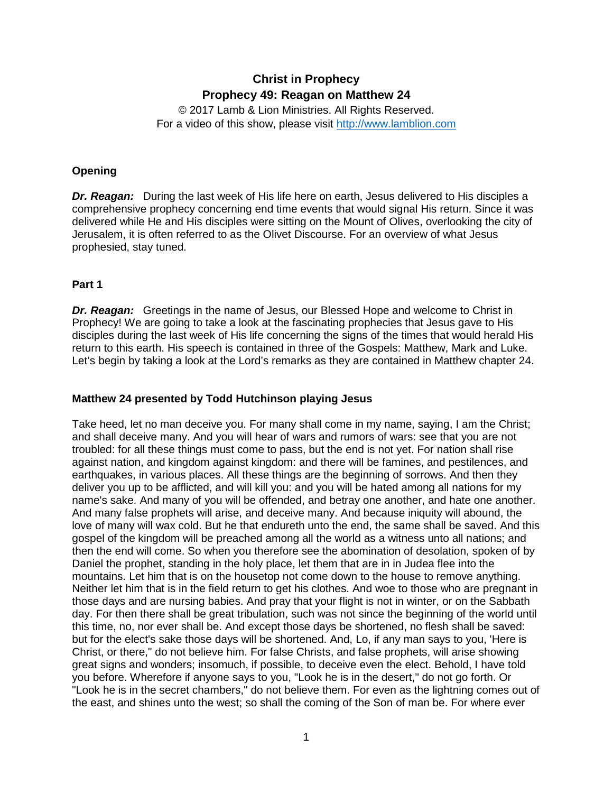# **Christ in Prophecy Prophecy 49: Reagan on Matthew 24**

© 2017 Lamb & Lion Ministries. All Rights Reserved. For a video of this show, please visit [http://www.lamblion.com](http://www.lamblion.com/)

## **Opening**

*Dr. Reagan:* During the last week of His life here on earth, Jesus delivered to His disciples a comprehensive prophecy concerning end time events that would signal His return. Since it was delivered while He and His disciples were sitting on the Mount of Olives, overlooking the city of Jerusalem, it is often referred to as the Olivet Discourse. For an overview of what Jesus prophesied, stay tuned.

## **Part 1**

*Dr. Reagan:* Greetings in the name of Jesus, our Blessed Hope and welcome to Christ in Prophecy! We are going to take a look at the fascinating prophecies that Jesus gave to His disciples during the last week of His life concerning the signs of the times that would herald His return to this earth. His speech is contained in three of the Gospels: Matthew, Mark and Luke. Let's begin by taking a look at the Lord's remarks as they are contained in Matthew chapter 24.

# **Matthew 24 presented by Todd Hutchinson playing Jesus**

Take heed, let no man deceive you. For many shall come in my name, saying, I am the Christ; and shall deceive many. And you will hear of wars and rumors of wars: see that you are not troubled: for all these things must come to pass, but the end is not yet. For nation shall rise against nation, and kingdom against kingdom: and there will be famines, and pestilences, and earthquakes, in various places. All these things are the beginning of sorrows. And then they deliver you up to be afflicted, and will kill you: and you will be hated among all nations for my name's sake. And many of you will be offended, and betray one another, and hate one another. And many false prophets will arise, and deceive many. And because iniquity will abound, the love of many will wax cold. But he that endureth unto the end, the same shall be saved. And this gospel of the kingdom will be preached among all the world as a witness unto all nations; and then the end will come. So when you therefore see the abomination of desolation, spoken of by Daniel the prophet, standing in the holy place, let them that are in in Judea flee into the mountains. Let him that is on the housetop not come down to the house to remove anything. Neither let him that is in the field return to get his clothes. And woe to those who are pregnant in those days and are nursing babies. And pray that your flight is not in winter, or on the Sabbath day. For then there shall be great tribulation, such was not since the beginning of the world until this time, no, nor ever shall be. And except those days be shortened, no flesh shall be saved: but for the elect's sake those days will be shortened. And, Lo, if any man says to you, 'Here is Christ, or there," do not believe him. For false Christs, and false prophets, will arise showing great signs and wonders; insomuch, if possible, to deceive even the elect. Behold, I have told you before. Wherefore if anyone says to you, "Look he is in the desert," do not go forth. Or "Look he is in the secret chambers," do not believe them. For even as the lightning comes out of the east, and shines unto the west; so shall the coming of the Son of man be. For where ever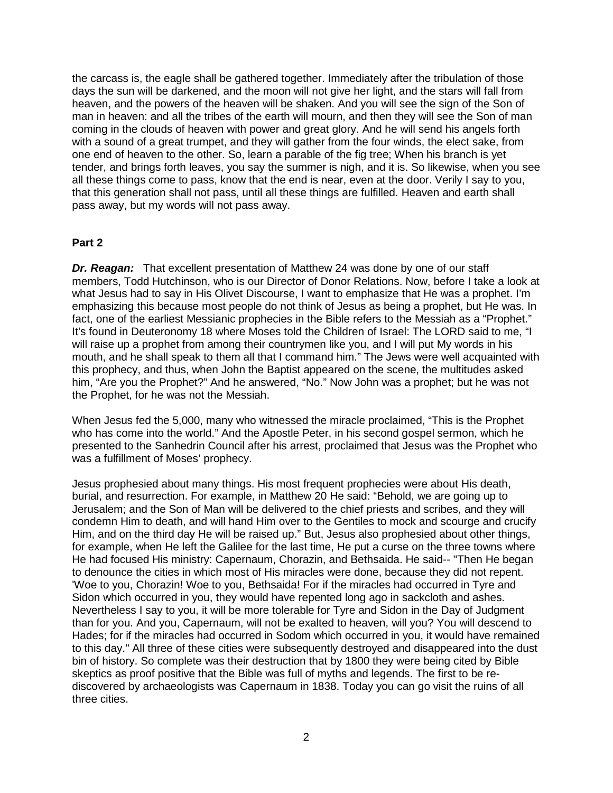the carcass is, the eagle shall be gathered together. Immediately after the tribulation of those days the sun will be darkened, and the moon will not give her light, and the stars will fall from heaven, and the powers of the heaven will be shaken. And you will see the sign of the Son of man in heaven: and all the tribes of the earth will mourn, and then they will see the Son of man coming in the clouds of heaven with power and great glory. And he will send his angels forth with a sound of a great trumpet, and they will gather from the four winds, the elect sake, from one end of heaven to the other. So, learn a parable of the fig tree; When his branch is yet tender, and brings forth leaves, you say the summer is nigh, and it is. So likewise, when you see all these things come to pass, know that the end is near, even at the door. Verily I say to you, that this generation shall not pass, until all these things are fulfilled. Heaven and earth shall pass away, but my words will not pass away.

#### **Part 2**

*Dr. Reagan:* That excellent presentation of Matthew 24 was done by one of our staff members, Todd Hutchinson, who is our Director of Donor Relations. Now, before I take a look at what Jesus had to say in His Olivet Discourse, I want to emphasize that He was a prophet. I'm emphasizing this because most people do not think of Jesus as being a prophet, but He was. In fact, one of the earliest Messianic prophecies in the Bible refers to the Messiah as a "Prophet." It's found in Deuteronomy 18 where Moses told the Children of Israel: The LORD said to me, "I will raise up a prophet from among their countrymen like you, and I will put My words in his mouth, and he shall speak to them all that I command him." The Jews were well acquainted with this prophecy, and thus, when John the Baptist appeared on the scene, the multitudes asked him, "Are you the Prophet?" And he answered, "No." Now John was a prophet; but he was not the Prophet, for he was not the Messiah.

When Jesus fed the 5,000, many who witnessed the miracle proclaimed, "This is the Prophet who has come into the world." And the Apostle Peter, in his second gospel sermon, which he presented to the Sanhedrin Council after his arrest, proclaimed that Jesus was the Prophet who was a fulfillment of Moses' prophecy.

Jesus prophesied about many things. His most frequent prophecies were about His death, burial, and resurrection. For example, in Matthew 20 He said: "Behold, we are going up to Jerusalem; and the Son of Man will be delivered to the chief priests and scribes, and they will condemn Him to death, and will hand Him over to the Gentiles to mock and scourge and crucify Him, and on the third day He will be raised up." But, Jesus also prophesied about other things, for example, when He left the Galilee for the last time, He put a curse on the three towns where He had focused His ministry: Capernaum, Chorazin, and Bethsaida. He said-- "Then He began to denounce the cities in which most of His miracles were done, because they did not repent. 'Woe to you, Chorazin! Woe to you, Bethsaida! For if the miracles had occurred in Tyre and Sidon which occurred in you, they would have repented long ago in sackcloth and ashes. Nevertheless I say to you, it will be more tolerable for Tyre and Sidon in the Day of Judgment than for you. And you, Capernaum, will not be exalted to heaven, will you? You will descend to Hades; for if the miracles had occurred in Sodom which occurred in you, it would have remained to this day." All three of these cities were subsequently destroyed and disappeared into the dust bin of history. So complete was their destruction that by 1800 they were being cited by Bible skeptics as proof positive that the Bible was full of myths and legends. The first to be rediscovered by archaeologists was Capernaum in 1838. Today you can go visit the ruins of all three cities.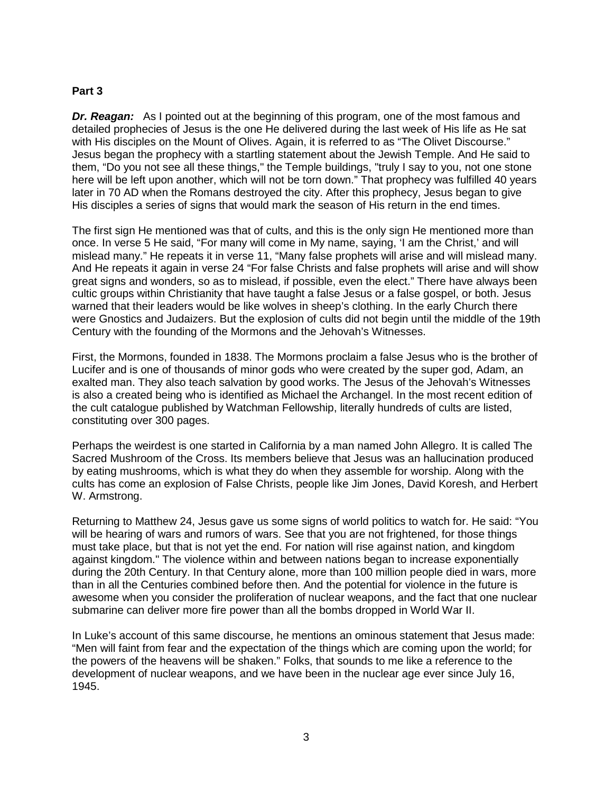#### **Part 3**

*Dr. Reagan:* As I pointed out at the beginning of this program, one of the most famous and detailed prophecies of Jesus is the one He delivered during the last week of His life as He sat with His disciples on the Mount of Olives. Again, it is referred to as "The Olivet Discourse." Jesus began the prophecy with a startling statement about the Jewish Temple. And He said to them, "Do you not see all these things," the Temple buildings, "truly I say to you, not one stone here will be left upon another, which will not be torn down." That prophecy was fulfilled 40 years later in 70 AD when the Romans destroyed the city. After this prophecy, Jesus began to give His disciples a series of signs that would mark the season of His return in the end times.

The first sign He mentioned was that of cults, and this is the only sign He mentioned more than once. In verse 5 He said, "For many will come in My name, saying, 'I am the Christ,' and will mislead many." He repeats it in verse 11, "Many false prophets will arise and will mislead many. And He repeats it again in verse 24 "For false Christs and false prophets will arise and will show great signs and wonders, so as to mislead, if possible, even the elect." There have always been cultic groups within Christianity that have taught a false Jesus or a false gospel, or both. Jesus warned that their leaders would be like wolves in sheep's clothing. In the early Church there were Gnostics and Judaizers. But the explosion of cults did not begin until the middle of the 19th Century with the founding of the Mormons and the Jehovah's Witnesses.

First, the Mormons, founded in 1838. The Mormons proclaim a false Jesus who is the brother of Lucifer and is one of thousands of minor gods who were created by the super god, Adam, an exalted man. They also teach salvation by good works. The Jesus of the Jehovah's Witnesses is also a created being who is identified as Michael the Archangel. In the most recent edition of the cult catalogue published by Watchman Fellowship, literally hundreds of cults are listed, constituting over 300 pages.

Perhaps the weirdest is one started in California by a man named John Allegro. It is called The Sacred Mushroom of the Cross. Its members believe that Jesus was an hallucination produced by eating mushrooms, which is what they do when they assemble for worship. Along with the cults has come an explosion of False Christs, people like Jim Jones, David Koresh, and Herbert W. Armstrong.

Returning to Matthew 24, Jesus gave us some signs of world politics to watch for. He said: "You will be hearing of wars and rumors of wars. See that you are not frightened, for those things must take place, but that is not yet the end. For nation will rise against nation, and kingdom against kingdom." The violence within and between nations began to increase exponentially during the 20th Century. In that Century alone, more than 100 million people died in wars, more than in all the Centuries combined before then. And the potential for violence in the future is awesome when you consider the proliferation of nuclear weapons, and the fact that one nuclear submarine can deliver more fire power than all the bombs dropped in World War II.

In Luke's account of this same discourse, he mentions an ominous statement that Jesus made: "Men will faint from fear and the expectation of the things which are coming upon the world; for the powers of the heavens will be shaken." Folks, that sounds to me like a reference to the development of nuclear weapons, and we have been in the nuclear age ever since July 16, 1945.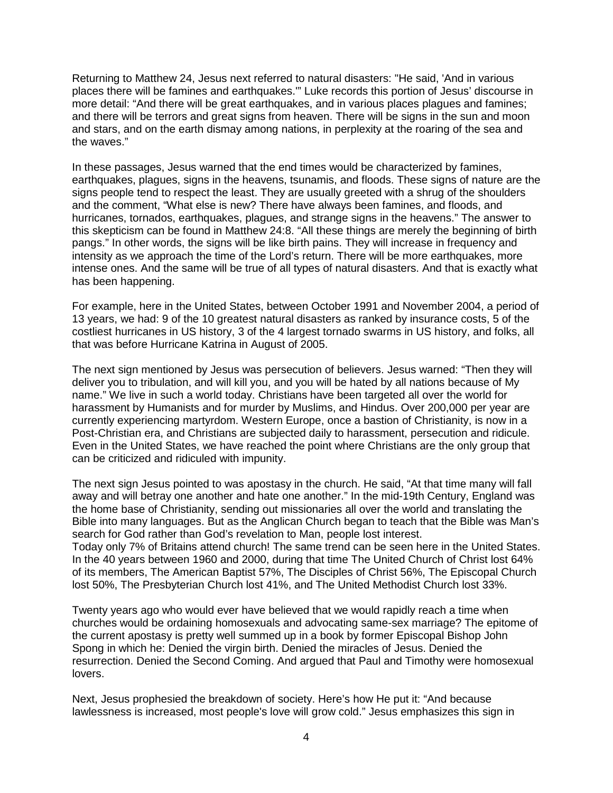Returning to Matthew 24, Jesus next referred to natural disasters: "He said, 'And in various places there will be famines and earthquakes.'" Luke records this portion of Jesus' discourse in more detail: "And there will be great earthquakes, and in various places plagues and famines; and there will be terrors and great signs from heaven. There will be signs in the sun and moon and stars, and on the earth dismay among nations, in perplexity at the roaring of the sea and the waves."

In these passages, Jesus warned that the end times would be characterized by famines, earthquakes, plagues, signs in the heavens, tsunamis, and floods. These signs of nature are the signs people tend to respect the least. They are usually greeted with a shrug of the shoulders and the comment, "What else is new? There have always been famines, and floods, and hurricanes, tornados, earthquakes, plagues, and strange signs in the heavens." The answer to this skepticism can be found in Matthew 24:8. "All these things are merely the beginning of birth pangs." In other words, the signs will be like birth pains. They will increase in frequency and intensity as we approach the time of the Lord's return. There will be more earthquakes, more intense ones. And the same will be true of all types of natural disasters. And that is exactly what has been happening.

For example, here in the United States, between October 1991 and November 2004, a period of 13 years, we had: 9 of the 10 greatest natural disasters as ranked by insurance costs, 5 of the costliest hurricanes in US history, 3 of the 4 largest tornado swarms in US history, and folks, all that was before Hurricane Katrina in August of 2005.

The next sign mentioned by Jesus was persecution of believers. Jesus warned: "Then they will deliver you to tribulation, and will kill you, and you will be hated by all nations because of My name." We live in such a world today. Christians have been targeted all over the world for harassment by Humanists and for murder by Muslims, and Hindus. Over 200,000 per year are currently experiencing martyrdom. Western Europe, once a bastion of Christianity, is now in a Post-Christian era, and Christians are subjected daily to harassment, persecution and ridicule. Even in the United States, we have reached the point where Christians are the only group that can be criticized and ridiculed with impunity.

The next sign Jesus pointed to was apostasy in the church. He said, "At that time many will fall away and will betray one another and hate one another." In the mid-19th Century, England was the home base of Christianity, sending out missionaries all over the world and translating the Bible into many languages. But as the Anglican Church began to teach that the Bible was Man's search for God rather than God's revelation to Man, people lost interest. Today only 7% of Britains attend church! The same trend can be seen here in the United States. In the 40 years between 1960 and 2000, during that time The United Church of Christ lost 64% of its members, The American Baptist 57%, The Disciples of Christ 56%, The Episcopal Church lost 50%, The Presbyterian Church lost 41%, and The United Methodist Church lost 33%.

Twenty years ago who would ever have believed that we would rapidly reach a time when churches would be ordaining homosexuals and advocating same-sex marriage? The epitome of the current apostasy is pretty well summed up in a book by former Episcopal Bishop John Spong in which he: Denied the virgin birth. Denied the miracles of Jesus. Denied the resurrection. Denied the Second Coming. And argued that Paul and Timothy were homosexual lovers.

Next, Jesus prophesied the breakdown of society. Here's how He put it: "And because lawlessness is increased, most people's love will grow cold." Jesus emphasizes this sign in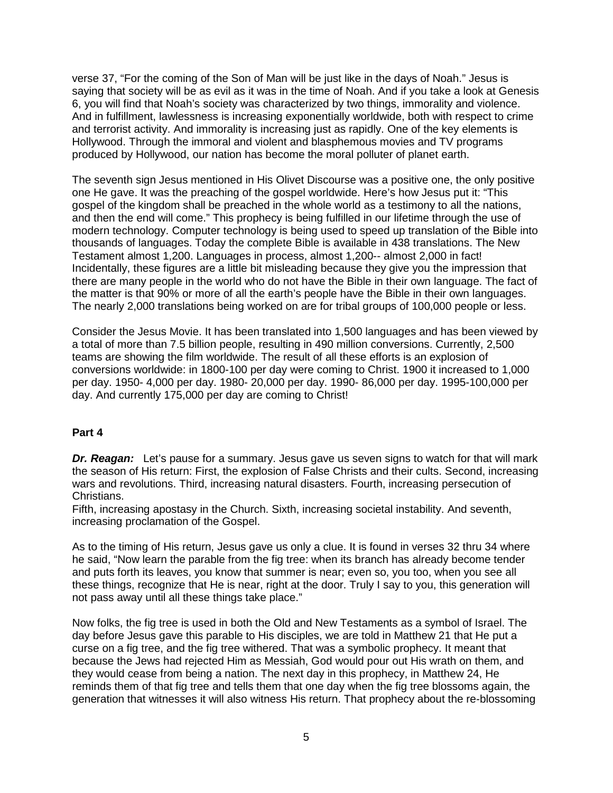verse 37, "For the coming of the Son of Man will be just like in the days of Noah." Jesus is saying that society will be as evil as it was in the time of Noah. And if you take a look at Genesis 6, you will find that Noah's society was characterized by two things, immorality and violence. And in fulfillment, lawlessness is increasing exponentially worldwide, both with respect to crime and terrorist activity. And immorality is increasing just as rapidly. One of the key elements is Hollywood. Through the immoral and violent and blasphemous movies and TV programs produced by Hollywood, our nation has become the moral polluter of planet earth.

The seventh sign Jesus mentioned in His Olivet Discourse was a positive one, the only positive one He gave. It was the preaching of the gospel worldwide. Here's how Jesus put it: "This gospel of the kingdom shall be preached in the whole world as a testimony to all the nations, and then the end will come." This prophecy is being fulfilled in our lifetime through the use of modern technology. Computer technology is being used to speed up translation of the Bible into thousands of languages. Today the complete Bible is available in 438 translations. The New Testament almost 1,200. Languages in process, almost 1,200-- almost 2,000 in fact! Incidentally, these figures are a little bit misleading because they give you the impression that there are many people in the world who do not have the Bible in their own language. The fact of the matter is that 90% or more of all the earth's people have the Bible in their own languages. The nearly 2,000 translations being worked on are for tribal groups of 100,000 people or less.

Consider the Jesus Movie. It has been translated into 1,500 languages and has been viewed by a total of more than 7.5 billion people, resulting in 490 million conversions. Currently, 2,500 teams are showing the film worldwide. The result of all these efforts is an explosion of conversions worldwide: in 1800-100 per day were coming to Christ. 1900 it increased to 1,000 per day. 1950- 4,000 per day. 1980- 20,000 per day. 1990- 86,000 per day. 1995-100,000 per day. And currently 175,000 per day are coming to Christ!

### **Part 4**

*Dr. Reagan:* Let's pause for a summary. Jesus gave us seven signs to watch for that will mark the season of His return: First, the explosion of False Christs and their cults. Second, increasing wars and revolutions. Third, increasing natural disasters. Fourth, increasing persecution of Christians.

Fifth, increasing apostasy in the Church. Sixth, increasing societal instability. And seventh, increasing proclamation of the Gospel.

As to the timing of His return, Jesus gave us only a clue. It is found in verses 32 thru 34 where he said, "Now learn the parable from the fig tree: when its branch has already become tender and puts forth its leaves, you know that summer is near; even so, you too, when you see all these things, recognize that He is near, right at the door. Truly I say to you, this generation will not pass away until all these things take place."

Now folks, the fig tree is used in both the Old and New Testaments as a symbol of Israel. The day before Jesus gave this parable to His disciples, we are told in Matthew 21 that He put a curse on a fig tree, and the fig tree withered. That was a symbolic prophecy. It meant that because the Jews had rejected Him as Messiah, God would pour out His wrath on them, and they would cease from being a nation. The next day in this prophecy, in Matthew 24, He reminds them of that fig tree and tells them that one day when the fig tree blossoms again, the generation that witnesses it will also witness His return. That prophecy about the re-blossoming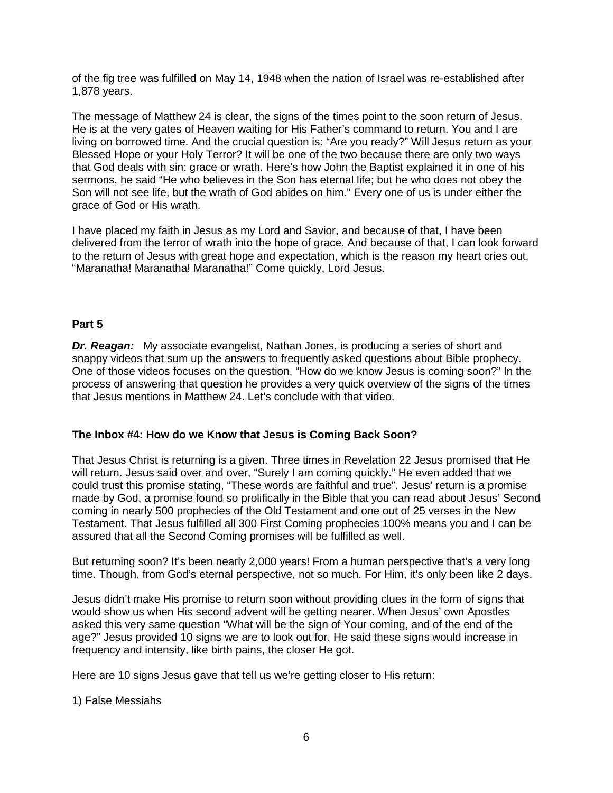of the fig tree was fulfilled on May 14, 1948 when the nation of Israel was re-established after 1,878 years.

The message of Matthew 24 is clear, the signs of the times point to the soon return of Jesus. He is at the very gates of Heaven waiting for His Father's command to return. You and I are living on borrowed time. And the crucial question is: "Are you ready?" Will Jesus return as your Blessed Hope or your Holy Terror? It will be one of the two because there are only two ways that God deals with sin: grace or wrath. Here's how John the Baptist explained it in one of his sermons, he said "He who believes in the Son has eternal life; but he who does not obey the Son will not see life, but the wrath of God abides on him." Every one of us is under either the grace of God or His wrath.

I have placed my faith in Jesus as my Lord and Savior, and because of that, I have been delivered from the terror of wrath into the hope of grace. And because of that, I can look forward to the return of Jesus with great hope and expectation, which is the reason my heart cries out, "Maranatha! Maranatha! Maranatha!" Come quickly, Lord Jesus.

### **Part 5**

*Dr. Reagan:* My associate evangelist, Nathan Jones, is producing a series of short and snappy videos that sum up the answers to frequently asked questions about Bible prophecy. One of those videos focuses on the question, "How do we know Jesus is coming soon?" In the process of answering that question he provides a very quick overview of the signs of the times that Jesus mentions in Matthew 24. Let's conclude with that video.

### **The Inbox #4: How do we Know that Jesus is Coming Back Soon?**

That Jesus Christ is returning is a given. Three times in Revelation 22 Jesus promised that He will return. Jesus said over and over, "Surely I am coming quickly." He even added that we could trust this promise stating, "These words are faithful and true". Jesus' return is a promise made by God, a promise found so prolifically in the Bible that you can read about Jesus' Second coming in nearly 500 prophecies of the Old Testament and one out of 25 verses in the New Testament. That Jesus fulfilled all 300 First Coming prophecies 100% means you and I can be assured that all the Second Coming promises will be fulfilled as well.

But returning soon? It's been nearly 2,000 years! From a human perspective that's a very long time. Though, from God's eternal perspective, not so much. For Him, it's only been like 2 days.

Jesus didn't make His promise to return soon without providing clues in the form of signs that would show us when His second advent will be getting nearer. When Jesus' own Apostles asked this very same question "What will be the sign of Your coming, and of the end of the age?" Jesus provided 10 signs we are to look out for. He said these signs would increase in frequency and intensity, like birth pains, the closer He got.

Here are 10 signs Jesus gave that tell us we're getting closer to His return:

1) False Messiahs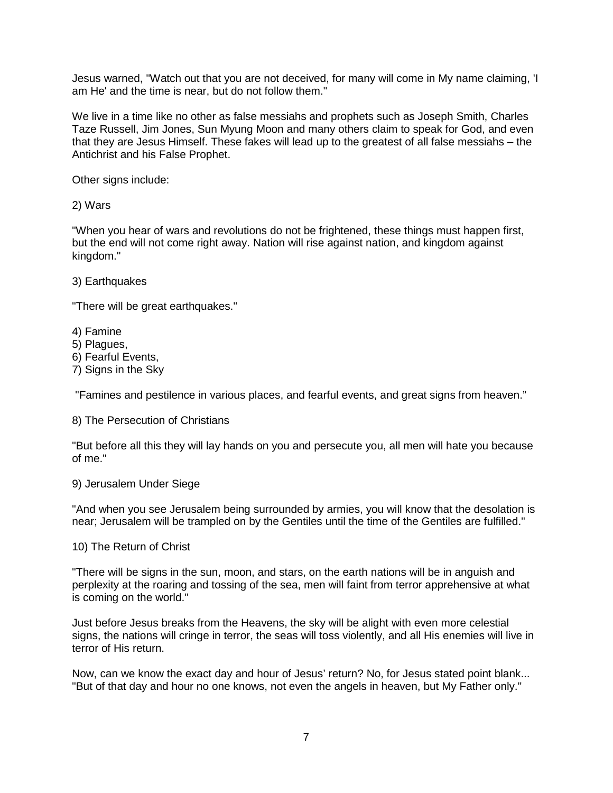Jesus warned, "Watch out that you are not deceived, for many will come in My name claiming, 'I am He' and the time is near, but do not follow them."

We live in a time like no other as false messiahs and prophets such as Joseph Smith, Charles Taze Russell, Jim Jones, Sun Myung Moon and many others claim to speak for God, and even that they are Jesus Himself. These fakes will lead up to the greatest of all false messiahs – the Antichrist and his False Prophet.

Other signs include:

2) Wars

"When you hear of wars and revolutions do not be frightened, these things must happen first, but the end will not come right away. Nation will rise against nation, and kingdom against kingdom."

3) Earthquakes

"There will be great earthquakes."

4) Famine

5) Plagues,

6) Fearful Events,

7) Signs in the Sky

"Famines and pestilence in various places, and fearful events, and great signs from heaven."

8) The Persecution of Christians

"But before all this they will lay hands on you and persecute you, all men will hate you because of me."

9) Jerusalem Under Siege

"And when you see Jerusalem being surrounded by armies, you will know that the desolation is near; Jerusalem will be trampled on by the Gentiles until the time of the Gentiles are fulfilled."

10) The Return of Christ

"There will be signs in the sun, moon, and stars, on the earth nations will be in anguish and perplexity at the roaring and tossing of the sea, men will faint from terror apprehensive at what is coming on the world."

Just before Jesus breaks from the Heavens, the sky will be alight with even more celestial signs, the nations will cringe in terror, the seas will toss violently, and all His enemies will live in terror of His return.

Now, can we know the exact day and hour of Jesus' return? No, for Jesus stated point blank... "But of that day and hour no one knows, not even the angels in heaven, but My Father only."